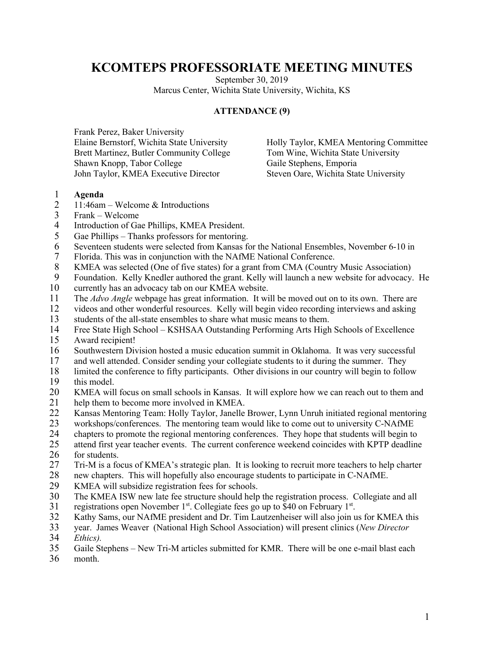## **KCOMTEPS PROFESSORIATE MEETING MINUTES**

September 30, 2019 Marcus Center, Wichita State University, Wichita, KS

## **ATTENDANCE (9)**

Frank Perez, Baker University Elaine Bernstorf, Wichita State University Brett Martinez, Butler Community College Shawn Knopp, Tabor College John Taylor, KMEA Executive Director

Holly Taylor, KMEA Mentoring Committee Tom Wine, Wichita State University Gaile Stephens, Emporia Steven Oare, Wichita State University

## 1 **Agenda**

- 2 11:46am Welcome & Introductions
- 3 Frank Welcome
- 4 Introduction of Gae Phillips, KMEA President.<br>5 Gae Phillips Thanks professors for mentoring.
- Gae Phillips Thanks professors for mentoring.
- 6 Seventeen students were selected from Kansas for the National Ensembles, November 6-10 in<br>7 Florida. This was in conjunction with the NAfME National Conference.
- Florida. This was in conjunction with the NAfME National Conference.
- 8 KMEA was selected (One of five states) for a grant from CMA (Country Music Association)
- 9 Foundation. Kelly Knedler authored the grant. Kelly will launch a new website for advocacy. He 10 currently has an advocacy tab on our KMEA website.
- 
- 11 The *Advo Angle* webpage has great information. It will be moved out on to its own. There are<br>12 videos and other wonderful resources. Kelly will begin video recording interviews and asking videos and other wonderful resources. Kelly will begin video recording interviews and asking
- 13 students of the all-state ensembles to share what music means to them.
- 14 Free State High School KSHSAA Outstanding Performing Arts High Schools of Excellence<br>15 Award recipient! Award recipient!
- 16 Southwestern Division hosted a music education summit in Oklahoma. It was very successful
- 17 and well attended. Consider sending your collegiate students to it during the summer. They
- 18 limited the conference to fifty participants. Other divisions in our country will begin to follow<br>19 this model.
- this model.
- 20 KMEA will focus on small schools in Kansas. It will explore how we can reach out to them and
- 21 help them to become more involved in KMEA.<br>22 Kansas Mentoring Team: Holly Taylor, Janelle
- 22 Kansas Mentoring Team: Holly Taylor, Janelle Brower, Lynn Unruh initiated regional mentoring<br>23 workshops/conferences. The mentoring team would like to come out to university C-NAfME
- workshops/conferences. The mentoring team would like to come out to university C-NAfME
- 24 chapters to promote the regional mentoring conferences. They hope that students will begin to<br>25 attend first year teacher events. The current conference weekend coincides with KPTP deadline
- attend first year teacher events. The current conference weekend coincides with KPTP deadline 26 for students.<br>27 Tri-M is a fo
- 27 Tri-M is a focus of KMEA's strategic plan. It is looking to recruit more teachers to help charter<br>28 new chapters. This will hopefully also encourage students to participate in C-NAfME.
- 28 new chapters. This will hopefully also encourage students to participate in C-NAfME.<br>29 KMEA will subsidize registration fees for schools.
- KMEA will subsidize registration fees for schools.
- 30 The KMEA ISW new late fee structure should help the registration process. Collegiate and all 31 registrations open November  $1<sup>st</sup>$ . Collegiate fees go up to \$40 on February  $1<sup>st</sup>$ .
- 32 Kathy Sams, our NAfME president and Dr. Tim Lautzenheiser will also join us for KMEA this
- 33 year. James Weaver (National High School Association) will present clinics (*New Director*
- 34 *Ethics).*
- 35 Gaile Stephens New Tri-M articles submitted for KMR. There will be one e-mail blast each
- 36 month.